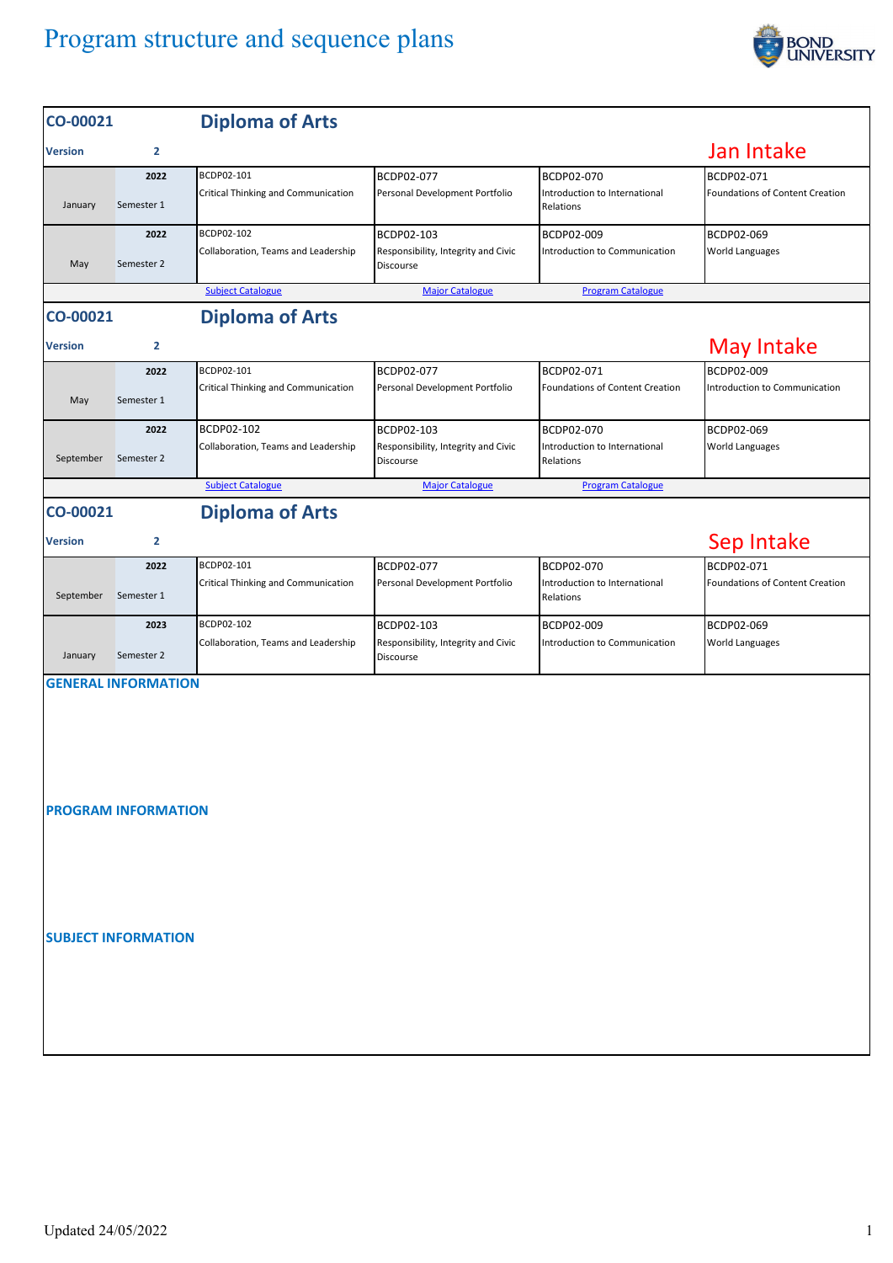## Program structure and sequence plans



| CO-00021                           |                                                          | <b>Diploma of Arts</b>                            |                                                                |                                                          |                                               |  |  |  |  |
|------------------------------------|----------------------------------------------------------|---------------------------------------------------|----------------------------------------------------------------|----------------------------------------------------------|-----------------------------------------------|--|--|--|--|
| <b>Version</b>                     | $\overline{2}$                                           |                                                   |                                                                |                                                          | Jan Intake                                    |  |  |  |  |
| January                            | 2022<br>Semester 1                                       | BCDP02-101<br>Critical Thinking and Communication | BCDP02-077<br>Personal Development Portfolio                   | BCDP02-070<br>Introduction to International<br>Relations | BCDP02-071<br>Foundations of Content Creation |  |  |  |  |
| May                                | 2022<br>Semester 2                                       | BCDP02-102<br>Collaboration, Teams and Leadership | BCDP02-103<br>Responsibility, Integrity and Civic<br>Discourse | BCDP02-009<br>Introduction to Communication              | BCDP02-069<br>World Languages                 |  |  |  |  |
|                                    |                                                          |                                                   |                                                                |                                                          |                                               |  |  |  |  |
| <b>Diploma of Arts</b><br>CO-00021 |                                                          |                                                   |                                                                |                                                          |                                               |  |  |  |  |
| <b>Version</b>                     | $\mathbf{2}$                                             |                                                   |                                                                |                                                          | <b>May Intake</b>                             |  |  |  |  |
| May                                | 2022<br>Semester 1                                       | BCDP02-101<br>Critical Thinking and Communication | BCDP02-077<br>Personal Development Portfolio                   | BCDP02-071<br>Foundations of Content Creation            | BCDP02-009<br>Introduction to Communication   |  |  |  |  |
| September                          | 2022<br>Semester 2                                       | BCDP02-102<br>Collaboration, Teams and Leadership | BCDP02-103<br>Responsibility, Integrity and Civic<br>Discourse | BCDP02-070<br>Introduction to International<br>Relations | BCDP02-069<br>World Languages                 |  |  |  |  |
|                                    |                                                          | <b>Subject Catalogue</b>                          | <b>Major Catalogue</b>                                         | <b>Program Catalogue</b>                                 |                                               |  |  |  |  |
| CO-00021                           |                                                          | <b>Diploma of Arts</b>                            |                                                                |                                                          |                                               |  |  |  |  |
| <b>Version</b>                     | $\overline{2}$                                           |                                                   |                                                                |                                                          | Sep Intake                                    |  |  |  |  |
| September                          | 2022<br>Semester 1                                       | BCDP02-101<br>Critical Thinking and Communication | BCDP02-077<br>Personal Development Portfolio                   | BCDP02-070<br>Introduction to International<br>Relations | BCDP02-071<br>Foundations of Content Creation |  |  |  |  |
| January                            | 2023<br>Semester 2                                       | BCDP02-102<br>Collaboration, Teams and Leadership | BCDP02-103<br>Responsibility, Integrity and Civic<br>Discourse | BCDP02-009<br>Introduction to Communication              | BCDP02-069<br>World Languages                 |  |  |  |  |
|                                    | <b>GENERAL INFORMATION</b><br><b>PROGRAM INFORMATION</b> |                                                   |                                                                |                                                          |                                               |  |  |  |  |
|                                    | <b>SUBJECT INFORMATION</b>                               |                                                   |                                                                |                                                          |                                               |  |  |  |  |